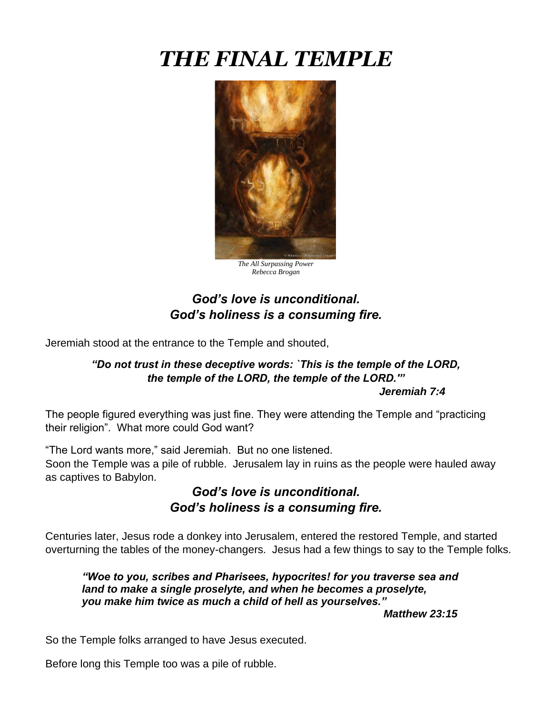# *THE FINAL TEMPLE*



*The All Surpassing Power Rebecca Brogan*

## *God's love is unconditional. God's holiness is a consuming fire.*

Jeremiah stood at the entrance to the Temple and shouted,

## *"Do not trust in these deceptive words: `This is the temple of the LORD, the temple of the LORD, the temple of the LORD.'"*

*Jeremiah 7:4*

The people figured everything was just fine. They were attending the Temple and "practicing their religion". What more could God want?

"The Lord wants more," said Jeremiah. But no one listened. Soon the Temple was a pile of rubble. Jerusalem lay in ruins as the people were hauled away as captives to Babylon.

## *God's love is unconditional. God's holiness is a consuming fire.*

Centuries later, Jesus rode a donkey into Jerusalem, entered the restored Temple, and started overturning the tables of the money-changers. Jesus had a few things to say to the Temple folks.

*"Woe to you, scribes and Pharisees, hypocrites! for you traverse sea and land to make a single proselyte, and when he becomes a proselyte, you make him twice as much a child of hell as yourselves."* 

*Matthew 23:15*

So the Temple folks arranged to have Jesus executed.

Before long this Temple too was a pile of rubble.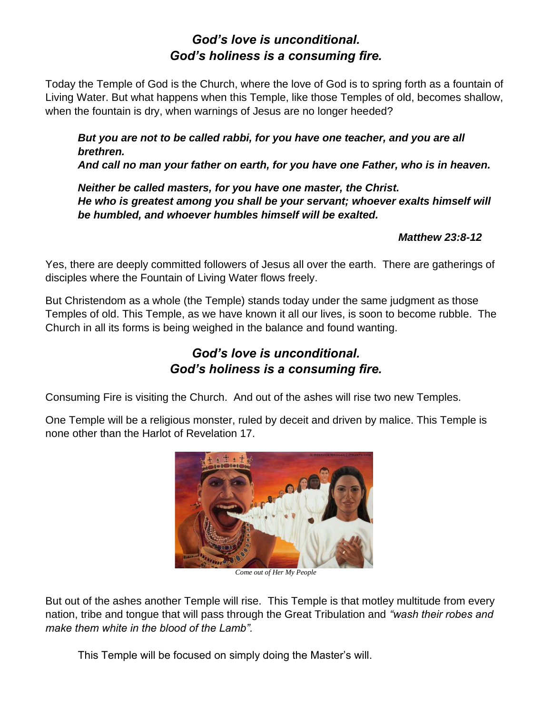## *God's love is unconditional. God's holiness is a consuming fire.*

Today the Temple of God is the Church, where the love of God is to spring forth as a fountain of Living Water. But what happens when this Temple, like those Temples of old, becomes shallow, when the fountain is dry, when warnings of Jesus are no longer heeded?

*But you are not to be called rabbi, for you have one teacher, and you are all brethren. And call no man your father on earth, for you have one Father, who is in heaven.*

*Neither be called masters, for you have one master, the Christ. He who is greatest among you shall be your servant; whoever exalts himself will be humbled, and whoever humbles himself will be exalted.*

*Matthew 23:8-12*

Yes, there are deeply committed followers of Jesus all over the earth. There are gatherings of disciples where the Fountain of Living Water flows freely.

But Christendom as a whole (the Temple) stands today under the same judgment as those Temples of old. This Temple, as we have known it all our lives, is soon to become rubble. The Church in all its forms is being weighed in the balance and found wanting.

# *God's love is unconditional. God's holiness is a consuming fire.*

Consuming Fire is visiting the Church. And out of the ashes will rise two new Temples.

One Temple will be a religious monster, ruled by deceit and driven by malice. This Temple is none other than the Harlot of Revelation 17.



*Come out of Her My People*

But out of the ashes another Temple will rise. This Temple is that motley multitude from every nation, tribe and tongue that will pass through the Great Tribulation and *"wash their robes and make them white in the blood of the Lamb".* 

This Temple will be focused on simply doing the Master's will.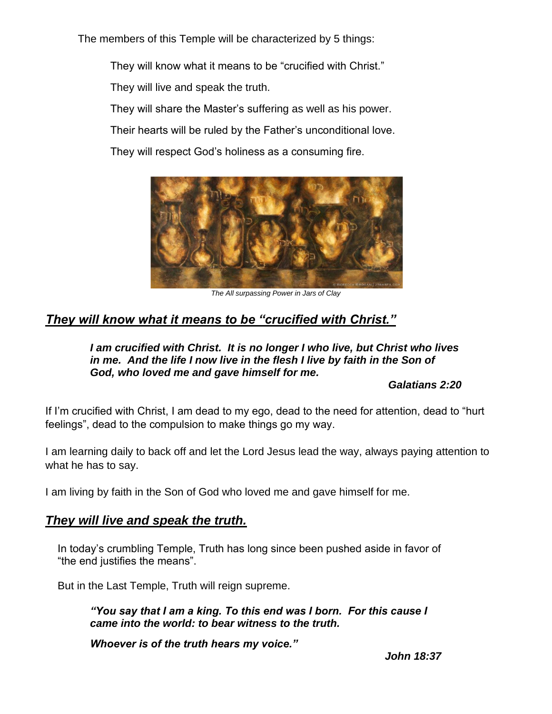The members of this Temple will be characterized by 5 things:

They will know what it means to be "crucified with Christ."

They will live and speak the truth.

They will share the Master's suffering as well as his power.

Their hearts will be ruled by the Father's unconditional love.

They will respect God's holiness as a consuming fire.



*The All surpassing Power in Jars of Clay*

## *They will know what it means to be "crucified with Christ."*

#### *I am crucified with Christ. It is no longer I who live, but Christ who lives in me. And the life I now live in the flesh I live by faith in the Son of God, who loved me and gave himself for me.*

*Galatians 2:20*

If I'm crucified with Christ, I am dead to my ego, dead to the need for attention, dead to "hurt feelings", dead to the compulsion to make things go my way.

I am learning daily to back off and let the Lord Jesus lead the way, always paying attention to what he has to say.

I am living by faith in the Son of God who loved me and gave himself for me.

#### *They will live and speak the truth.*

In today's crumbling Temple, Truth has long since been pushed aside in favor of "the end justifies the means".

But in the Last Temple, Truth will reign supreme.

*"You say that I am a king. To this end was I born. For this cause I came into the world: to bear witness to the truth.*

*Whoever is of the truth hears my voice."*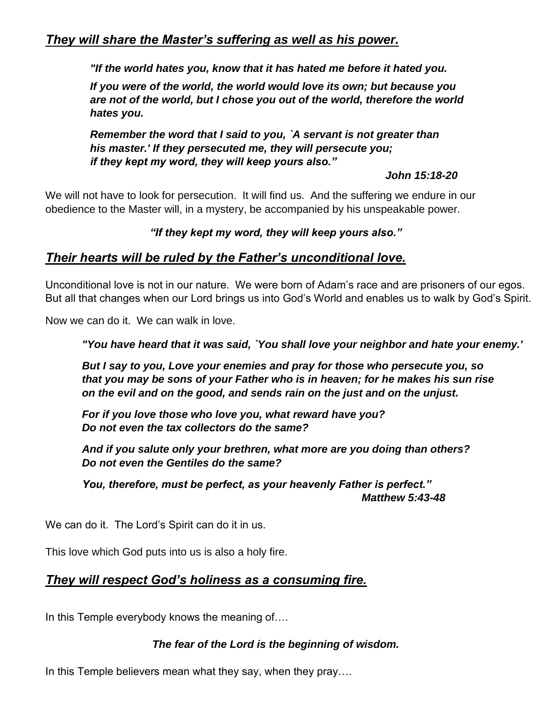*"If the world hates you, know that it has hated me before it hated you.* 

*If you were of the world, the world would love its own; but because you are not of the world, but I chose you out of the world, therefore the world hates you.*

*Remember the word that I said to you, `A servant is not greater than his master.' If they persecuted me, they will persecute you; if they kept my word, they will keep yours also."*

#### *John 15:18-20*

We will not have to look for persecution. It will find us. And the suffering we endure in our obedience to the Master will, in a mystery, be accompanied by his unspeakable power.

#### *"If they kept my word, they will keep yours also."*

## *Their hearts will be ruled by the Father's unconditional love.*

Unconditional love is not in our nature. We were born of Adam's race and are prisoners of our egos. But all that changes when our Lord brings us into God's World and enables us to walk by God's Spirit.

Now we can do it. We can walk in love.

*"You have heard that it was said, `You shall love your neighbor and hate your enemy.'*

*But I say to you, Love your enemies and pray for those who persecute you, so that you may be sons of your Father who is in heaven; for he makes his sun rise on the evil and on the good, and sends rain on the just and on the unjust.*

*For if you love those who love you, what reward have you? Do not even the tax collectors do the same?*

*And if you salute only your brethren, what more are you doing than others? Do not even the Gentiles do the same?*

*You, therefore, must be perfect, as your heavenly Father is perfect." Matthew 5:43-48*

We can do it. The Lord's Spirit can do it in us.

This love which God puts into us is also a holy fire.

#### *They will respect God's holiness as a consuming fire.*

In this Temple everybody knows the meaning of….

#### *The fear of the Lord is the beginning of wisdom.*

In this Temple believers mean what they say, when they pray....